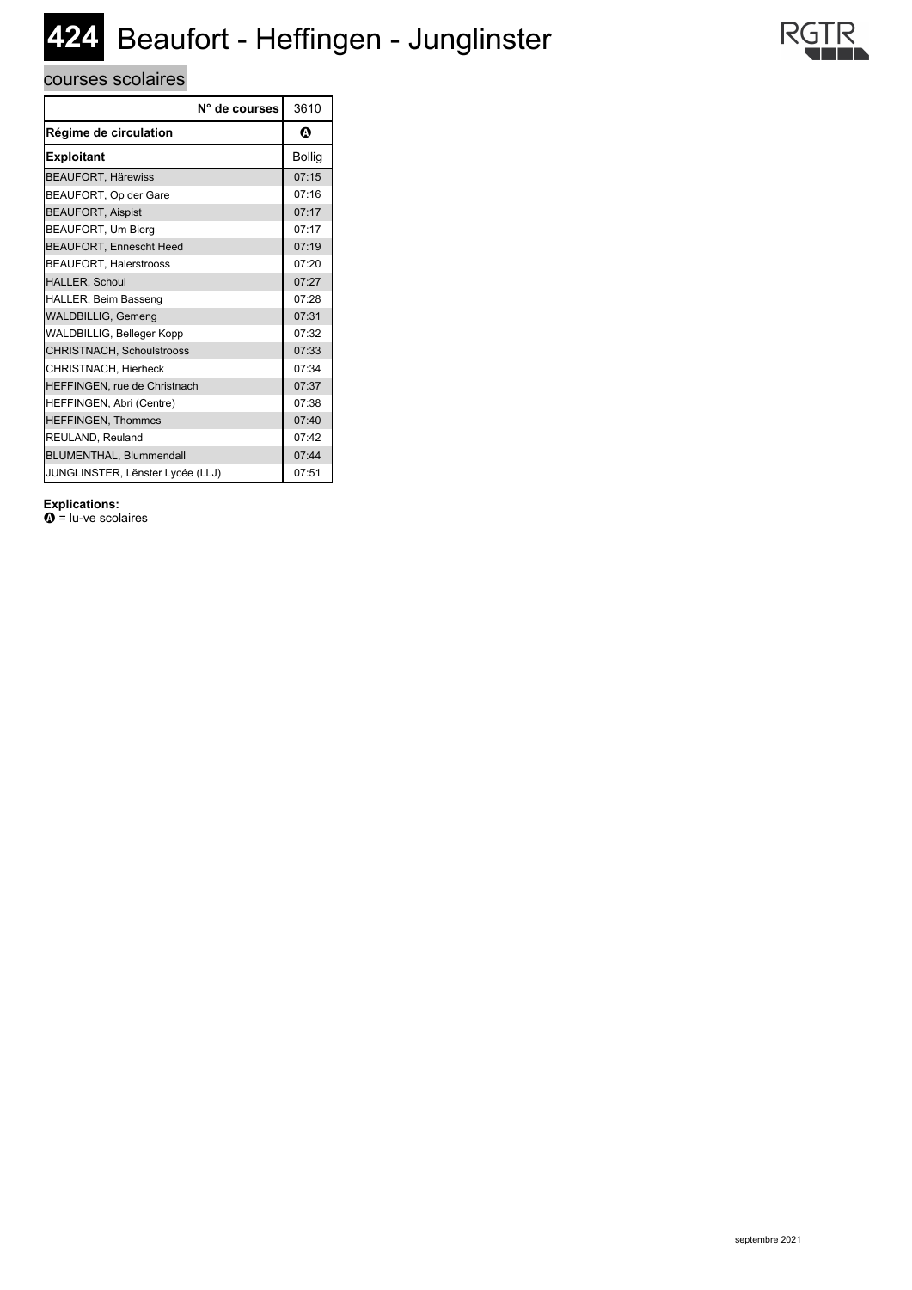# **424** Beaufort - Heffingen - Junglinster

## courses scolaires

|                                  | N° de courses | 3610          |
|----------------------------------|---------------|---------------|
| Régime de circulation            |               | Ø             |
| <b>Exploitant</b>                |               | <b>Bollig</b> |
| <b>BEAUFORT, Härewiss</b>        |               | 07:15         |
| BEAUFORT, Op der Gare            |               | 07:16         |
| <b>BEAUFORT, Aispist</b>         |               | 07:17         |
| BEAUFORT, Um Bierg               |               | 07:17         |
| <b>BEAUFORT, Ennescht Heed</b>   |               | 07:19         |
| <b>BEAUFORT, Halerstrooss</b>    |               | 07:20         |
| HALLER, Schoul                   |               | 07:27         |
| HALLER, Beim Basseng             |               | 07:28         |
| <b>WALDBILLIG, Gemeng</b>        |               | 07:31         |
| WALDBILLIG, Belleger Kopp        |               | 07:32         |
| CHRISTNACH, Schoulstrooss        |               | 07:33         |
| CHRISTNACH, Hierheck             |               | 07:34         |
| HEFFINGEN, rue de Christnach     |               | 07:37         |
| HEFFINGEN, Abri (Centre)         |               | 07:38         |
| <b>HEFFINGEN, Thommes</b>        |               | 07:40         |
| REULAND, Reuland                 |               | 07:42         |
| BLUMENTHAL, Blummendall          |               | 07:44         |
| JUNGLINSTER, Lënster Lycée (LLJ) |               | 07:51         |

### **Explications:**

 $\mathbf{\Omega}$  = lu-ve scolaires